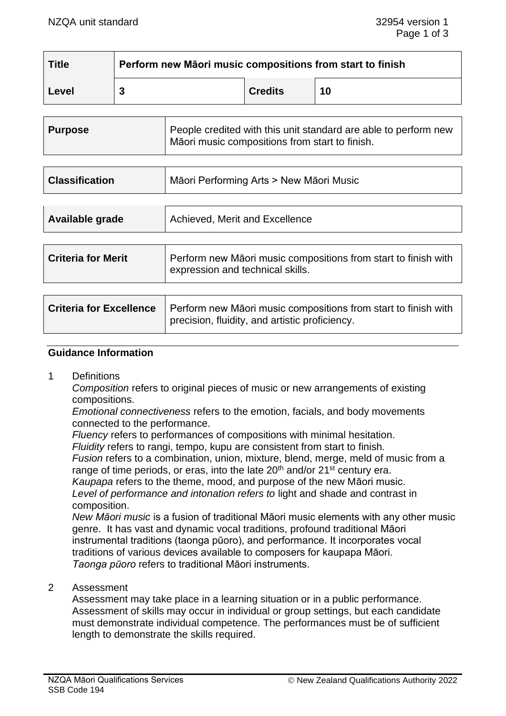| <b>Title</b> | Perform new Māori music compositions from start to finish |                |    |  |
|--------------|-----------------------------------------------------------|----------------|----|--|
| Level        | 3                                                         | <b>Credits</b> | 10 |  |

| <b>Purpose</b>        | People credited with this unit standard are able to perform new<br>Māori music compositions from start to finish. |
|-----------------------|-------------------------------------------------------------------------------------------------------------------|
|                       |                                                                                                                   |
| <b>Classification</b> | Māori Performing Arts > New Māori Music                                                                           |

| Available grade           | Achieved, Merit and Excellence                                                                     |  |
|---------------------------|----------------------------------------------------------------------------------------------------|--|
|                           |                                                                                                    |  |
| <b>Criteria for Merit</b> | Perform new Māori music compositions from start to finish with<br>expression and technical skills. |  |

| Criteria for Excellence   Perform new Māori music compositions from start to finish with |  |
|------------------------------------------------------------------------------------------|--|
| precision, fluidity, and artistic proficiency.                                           |  |

### **Guidance Information**

1 Definitions

*Composition* refers to original pieces of music or new arrangements of existing compositions.

*Emotional connectiveness* refers to the emotion, facials, and body movements connected to the performance.

*Fluency* refers to performances of compositions with minimal hesitation.

*Fluidity* refers to rangi, tempo, kupu are consistent from start to finish*.*

*Fusion* refers to a combination, union, mixture, blend, merge, meld of music from a range of time periods, or eras, into the late  $20<sup>th</sup>$  and/or  $21<sup>st</sup>$  century era.

*Kaupapa* refers to the theme, mood, and purpose of the new Māori music.

*Level of performance and intonation refers to* light and shade and contrast in composition.

*New Māori music* is a fusion of traditional Māori music elements with any other music genre. It has vast and dynamic vocal traditions, profound traditional Māori instrumental traditions (taonga pūoro), and performance. It incorporates vocal traditions of various devices available to composers for kaupapa Māori. *Taonga pūoro* refers to traditional Māori instruments.

#### 2 Assessment

Assessment may take place in a learning situation or in a public performance. Assessment of skills may occur in individual or group settings, but each candidate must demonstrate individual competence. The performances must be of sufficient length to demonstrate the skills required.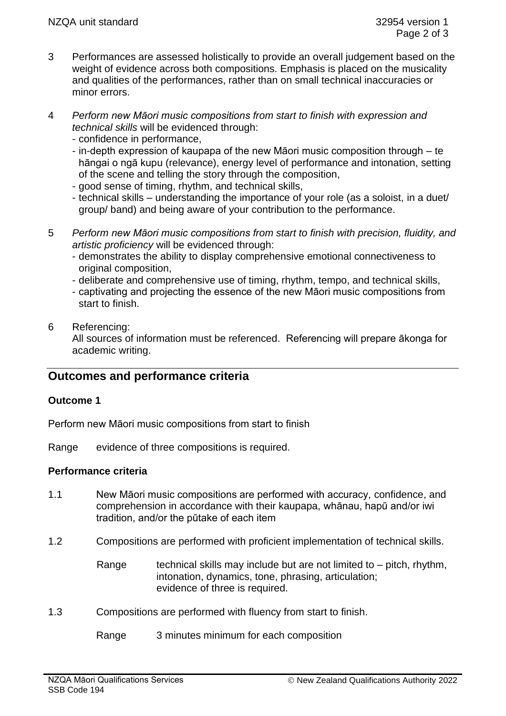- 3 Performances are assessed holistically to provide an overall judgement based on the weight of evidence across both compositions. Emphasis is placed on the musicality and qualities of the performances, rather than on small technical inaccuracies or minor errors.
- 4 *Perform new Māori music compositions from start to finish with expression and technical skills* will be evidenced through:
	- confidence in performance,
	- in-depth expression of kaupapa of the new Māori music composition through te hāngai o ngā kupu (relevance), energy level of performance and intonation, setting of the scene and telling the story through the composition,
	- good sense of timing, rhythm, and technical skills,
	- technical skills understanding the importance of your role (as a soloist, in a duet/ group/ band) and being aware of your contribution to the performance.
- 5 *Perform new Māori music compositions from start to finish with precision, fluidity, and artistic proficiency* will be evidenced through:
	- demonstrates the ability to display comprehensive emotional connectiveness to original composition,
	- deliberate and comprehensive use of timing, rhythm, tempo, and technical skills,
	- captivating and projecting the essence of the new Māori music compositions from start to finish.

## 6 Referencing:

All sources of information must be referenced. Referencing will prepare ākonga for academic writing.

# **Outcomes and performance criteria**

### **Outcome 1**

Perform new Māori music compositions from start to finish

Range evidence of three compositions is required.

### **Performance criteria**

- 1.1 New Māori music compositions are performed with accuracy, confidence, and comprehension in accordance with their kaupapa, whānau, hapū and/or iwi tradition, and/or the pūtake of each item
- 1.2 Compositions are performed with proficient implementation of technical skills.
	- Range technical skills may include but are not limited to  $-$  pitch, rhythm, intonation, dynamics, tone, phrasing, articulation; evidence of three is required.
- 1.3 Compositions are performed with fluency from start to finish.

Range 3 minutes minimum for each composition